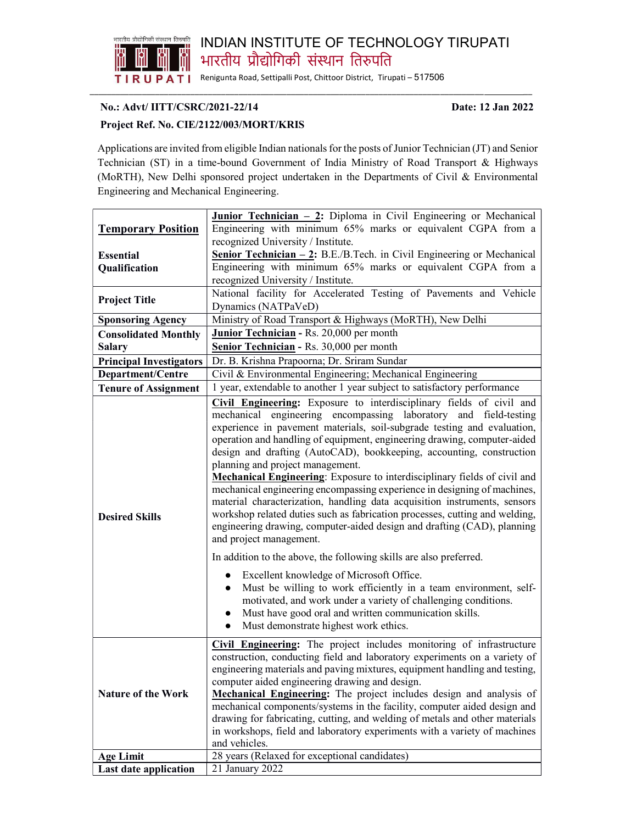

## INDIAN INSTITUTE OF TECHNOLOGY TIRUPATI भारतीय प्रौद्योगिकी संस्थान तिरुपति

Renigunta Road, Settipalli Post, Chittoor District, Tirupati – 517506 \_\_\_\_\_\_\_\_\_\_\_\_\_\_\_\_\_\_\_\_\_\_\_\_\_\_\_\_\_\_\_\_\_\_\_\_\_\_\_\_\_\_\_\_\_\_\_\_\_\_\_\_\_\_\_\_\_\_\_\_\_\_\_\_\_\_\_\_\_\_\_\_\_\_\_\_\_\_\_\_\_\_\_\_\_\_\_\_\_\_ \_\_

## No.: Advt/ IITT/CSRC/2021-22/14 Date: 12 Jan 2022

## Project Ref. No. CIE/2122/003/MORT/KRIS

Applications are invited from eligible Indian nationals for the posts of Junior Technician (JT) and Senior Technician (ST) in a time-bound Government of India Ministry of Road Transport & Highways (MoRTH), New Delhi sponsored project undertaken in the Departments of Civil & Environmental Engineering and Mechanical Engineering.

|                                | <b>Junior Technician - 2:</b> Diploma in Civil Engineering or Mechanical                                                                                                                                                                                                                                                                                                                                                                                                                                                                                                                                                                                                                                                                                                                                                                                                                                                                                                                                                                                                                                                                                                                                                   |
|--------------------------------|----------------------------------------------------------------------------------------------------------------------------------------------------------------------------------------------------------------------------------------------------------------------------------------------------------------------------------------------------------------------------------------------------------------------------------------------------------------------------------------------------------------------------------------------------------------------------------------------------------------------------------------------------------------------------------------------------------------------------------------------------------------------------------------------------------------------------------------------------------------------------------------------------------------------------------------------------------------------------------------------------------------------------------------------------------------------------------------------------------------------------------------------------------------------------------------------------------------------------|
| <b>Temporary Position</b>      | Engineering with minimum 65% marks or equivalent CGPA from a                                                                                                                                                                                                                                                                                                                                                                                                                                                                                                                                                                                                                                                                                                                                                                                                                                                                                                                                                                                                                                                                                                                                                               |
|                                | recognized University / Institute.                                                                                                                                                                                                                                                                                                                                                                                                                                                                                                                                                                                                                                                                                                                                                                                                                                                                                                                                                                                                                                                                                                                                                                                         |
| <b>Essential</b>               | <b><u>Senior Technician – 2</u>:</b> B.E./B.Tech. in Civil Engineering or Mechanical                                                                                                                                                                                                                                                                                                                                                                                                                                                                                                                                                                                                                                                                                                                                                                                                                                                                                                                                                                                                                                                                                                                                       |
| Qualification                  | Engineering with minimum 65% marks or equivalent CGPA from a                                                                                                                                                                                                                                                                                                                                                                                                                                                                                                                                                                                                                                                                                                                                                                                                                                                                                                                                                                                                                                                                                                                                                               |
|                                | recognized University / Institute.                                                                                                                                                                                                                                                                                                                                                                                                                                                                                                                                                                                                                                                                                                                                                                                                                                                                                                                                                                                                                                                                                                                                                                                         |
| <b>Project Title</b>           | National facility for Accelerated Testing of Pavements and Vehicle                                                                                                                                                                                                                                                                                                                                                                                                                                                                                                                                                                                                                                                                                                                                                                                                                                                                                                                                                                                                                                                                                                                                                         |
|                                | Dynamics (NATPaVeD)                                                                                                                                                                                                                                                                                                                                                                                                                                                                                                                                                                                                                                                                                                                                                                                                                                                                                                                                                                                                                                                                                                                                                                                                        |
| <b>Sponsoring Agency</b>       | Ministry of Road Transport & Highways (MoRTH), New Delhi                                                                                                                                                                                                                                                                                                                                                                                                                                                                                                                                                                                                                                                                                                                                                                                                                                                                                                                                                                                                                                                                                                                                                                   |
| <b>Consolidated Monthly</b>    | Junior Technician - Rs. 20,000 per month                                                                                                                                                                                                                                                                                                                                                                                                                                                                                                                                                                                                                                                                                                                                                                                                                                                                                                                                                                                                                                                                                                                                                                                   |
| <b>Salary</b>                  | Senior Technician - Rs. 30,000 per month                                                                                                                                                                                                                                                                                                                                                                                                                                                                                                                                                                                                                                                                                                                                                                                                                                                                                                                                                                                                                                                                                                                                                                                   |
| <b>Principal Investigators</b> | Dr. B. Krishna Prapoorna; Dr. Sriram Sundar                                                                                                                                                                                                                                                                                                                                                                                                                                                                                                                                                                                                                                                                                                                                                                                                                                                                                                                                                                                                                                                                                                                                                                                |
| Department/Centre              | Civil & Environmental Engineering; Mechanical Engineering                                                                                                                                                                                                                                                                                                                                                                                                                                                                                                                                                                                                                                                                                                                                                                                                                                                                                                                                                                                                                                                                                                                                                                  |
| <b>Tenure of Assignment</b>    | 1 year, extendable to another 1 year subject to satisfactory performance                                                                                                                                                                                                                                                                                                                                                                                                                                                                                                                                                                                                                                                                                                                                                                                                                                                                                                                                                                                                                                                                                                                                                   |
| <b>Desired Skills</b>          | Civil Engineering: Exposure to interdisciplinary fields of civil and<br>mechanical engineering encompassing laboratory and field-testing<br>experience in pavement materials, soil-subgrade testing and evaluation,<br>operation and handling of equipment, engineering drawing, computer-aided<br>design and drafting (AutoCAD), bookkeeping, accounting, construction<br>planning and project management.<br>Mechanical Engineering: Exposure to interdisciplinary fields of civil and<br>mechanical engineering encompassing experience in designing of machines,<br>material characterization, handling data acquisition instruments, sensors<br>workshop related duties such as fabrication processes, cutting and welding,<br>engineering drawing, computer-aided design and drafting (CAD), planning<br>and project management.<br>In addition to the above, the following skills are also preferred.<br>Excellent knowledge of Microsoft Office.<br>Must be willing to work efficiently in a team environment, self-<br>$\bullet$<br>motivated, and work under a variety of challenging conditions.<br>Must have good oral and written communication skills.<br>Must demonstrate highest work ethics.<br>$\bullet$ |
| <b>Nature of the Work</b>      | Civil Engineering: The project includes monitoring of infrastructure<br>construction, conducting field and laboratory experiments on a variety of<br>engineering materials and paving mixtures, equipment handling and testing,<br>computer aided engineering drawing and design.<br>Mechanical Engineering: The project includes design and analysis of<br>mechanical components/systems in the facility, computer aided design and<br>drawing for fabricating, cutting, and welding of metals and other materials<br>in workshops, field and laboratory experiments with a variety of machines<br>and vehicles.                                                                                                                                                                                                                                                                                                                                                                                                                                                                                                                                                                                                          |
| <b>Age Limit</b>               | 28 years (Relaxed for exceptional candidates)                                                                                                                                                                                                                                                                                                                                                                                                                                                                                                                                                                                                                                                                                                                                                                                                                                                                                                                                                                                                                                                                                                                                                                              |
| Last date application          | 21 January 2022                                                                                                                                                                                                                                                                                                                                                                                                                                                                                                                                                                                                                                                                                                                                                                                                                                                                                                                                                                                                                                                                                                                                                                                                            |
|                                |                                                                                                                                                                                                                                                                                                                                                                                                                                                                                                                                                                                                                                                                                                                                                                                                                                                                                                                                                                                                                                                                                                                                                                                                                            |